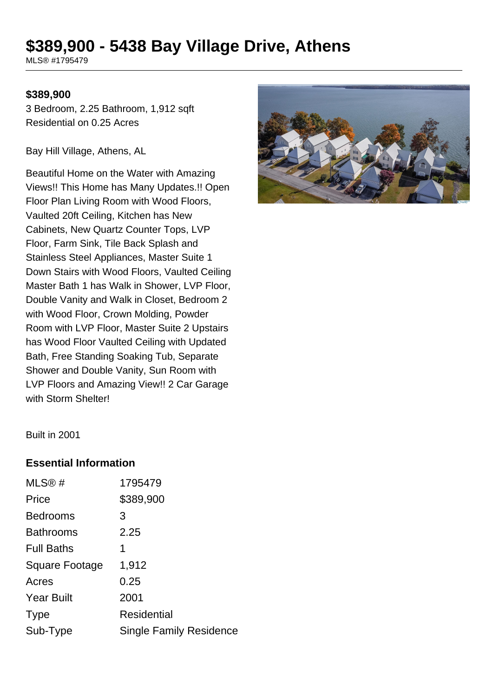# **\$389,900 - 5438 Bay Village Drive, Athens**

MLS® #1795479

#### **\$389,900**

3 Bedroom, 2.25 Bathroom, 1,912 sqft Residential on 0.25 Acres

Bay Hill Village, Athens, AL

Beautiful Home on the Water with Amazing Views!! This Home has Many Updates.!! Open Floor Plan Living Room with Wood Floors, Vaulted 20ft Ceiling, Kitchen has New Cabinets, New Quartz Counter Tops, LVP Floor, Farm Sink, Tile Back Splash and Stainless Steel Appliances, Master Suite 1 Down Stairs with Wood Floors, Vaulted Ceiling Master Bath 1 has Walk in Shower, LVP Floor, Double Vanity and Walk in Closet, Bedroom 2 with Wood Floor, Crown Molding, Powder Room with LVP Floor, Master Suite 2 Upstairs has Wood Floor Vaulted Ceiling with Updated Bath, Free Standing Soaking Tub, Separate Shower and Double Vanity, Sun Room with LVP Floors and Amazing View!! 2 Car Garage with Storm Shelter!



Built in 2001

#### **Essential Information**

| MLS®#                 | 1795479                        |
|-----------------------|--------------------------------|
| Price                 | \$389,900                      |
| <b>Bedrooms</b>       | 3                              |
| <b>Bathrooms</b>      | 2.25                           |
| <b>Full Baths</b>     | 1                              |
| <b>Square Footage</b> | 1,912                          |
| Acres                 | 0.25                           |
| <b>Year Built</b>     | 2001                           |
| <b>Type</b>           | <b>Residential</b>             |
| Sub-Type              | <b>Single Family Residence</b> |